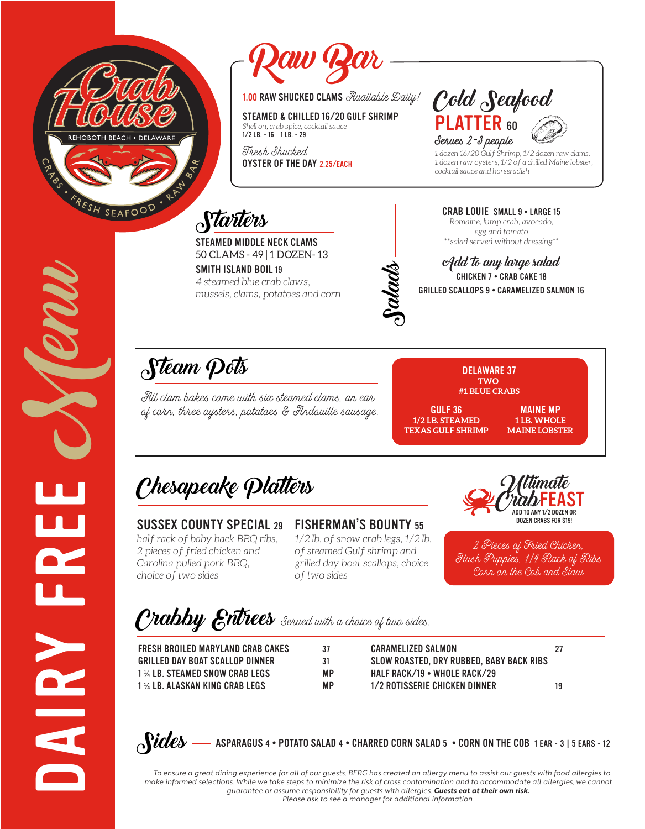



STEAMED & CHILLED 16/20 GULF SHRIMP *Shell on, crab spice, cocktail sauce* 1/2 LB. - 16 1 LB. - 29

Fresh Shucked OYSTER OF THE DAY 2.25/EACH

1.00 RAW SHUCKED CLAMS Awailable Daily!  $\mathit{Cold}\space\text{geabcd}$ PLATTER 60 Serves 2-3 people



*1 dozen 16/20 Gulf Shrimp, 1/2 dozen raw clams, 1 dozen raw oysters, 1/2 of a chilled Maine lobster, cocktail sauce and horseradish*

**Starters** 

STEAMED MIDDLE NECK CLAMS 50 CLAMS - 49 | 1 DOZEN- 13

SMITH ISLAND BOIL 19 *4 steamed blue crab claws, mussels, clams, potatoes and corn*



Add to any large salad CHICKEN 7 • CRAB CAKE 18 GRILLED SCALLOPS 9 • CARAMELIZED SALMON 16

CRAB LOUIE SMALL 9 • LARGE 15 *Romaine, lump crab, avocado, egg and tomato*

# Steam Pots

All clam bakes come with six steamed clams, an ear of corn, three oysters, potatoes & Andouille sausage.



GULF 36 **1/2 LB. STEAMED TEXAS GULF SHRIMP**

MAINE MP **1 LB. WHOLE MAINE LOBSTER**

Chesapeake Platters

### SUSSEX COUNTY SPECIAL 29

*half rack of baby back BBQ ribs, 2 pieces of fried chicken and Carolina pulled pork BBQ, choice of two sides*

### FISHERMAN'S BOUNTY 55

*1/2 lb. of snow crab legs, 1/2 lb. of steamed Gulf shrimp and grilled day boat scallops, choice of two sides*



2 Pieces of Fried Chicken, Hush Puppies, 1/4 Rack of Ribs Corn on the Cob and Slaw

Crabby Entrees Served with a choice of two sides.

FRESH BROILED MARYLAND CRAB CAKES 37 GRILLED DAY BOAT SCALLOP DINNER 31 1 ¼ LB. STEAMED SNOW CRAB LEGS MP 1 ¼ LB. ALASKAN KING CRAB LEGS MP

CARAMELIZED SALMON 27 SLOW ROASTED, DRY RUBBED, BABY BACK RIBS HALF RACK/19 • WHOLE RACK/29 1/2 ROTISSERIE CHICKEN DINNER 19

 $\delta$ Sides

DAIRY FREE SYCOON

**HE** 

4 • POTATO SALAD 4 • CHARRED CORN SALAD 5 • CORN ON THE COB 1 EAR - 3 | 5 EARS - 12

 *To ensure a great dining experience for all of our guests, BFRG has created an allergy menu to assist our guests with food allergies to make informed selections. While we take steps to minimize the risk of cross contamination and to accommodate all allergies, we cannot guarantee or assume responsibility for guests with allergies. Guests eat at their own risk. Please ask to see a manager for additional information.*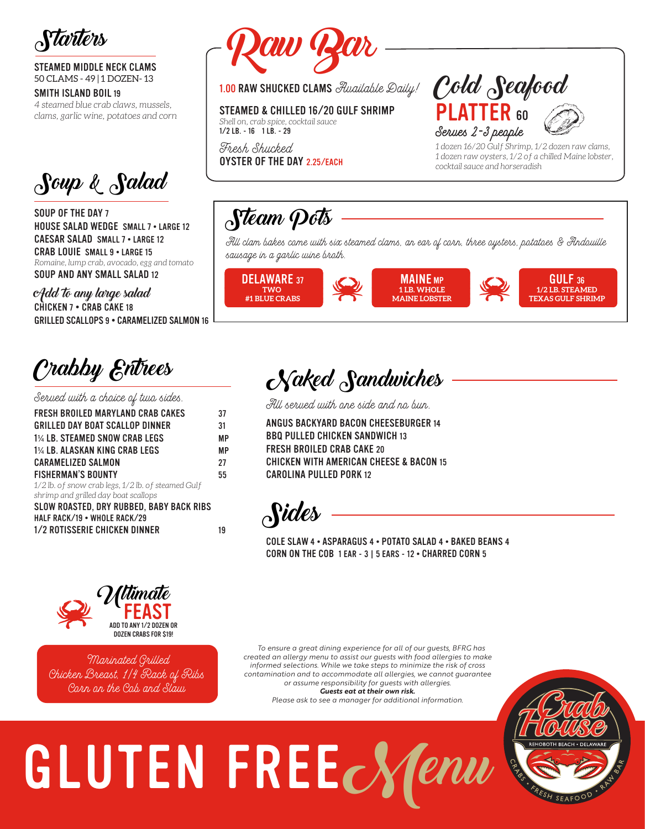

STEAMED MIDDLE NECK CLAMS 50 CLAMS - 49 | 1 DOZEN- 13

#### SMITH ISLAND BOIL 19

*4 steamed blue crab claws, mussels, clams, garlic wine, potatoes and corn*

Soup & Salad

SOUP OF THE DAY 7 HOUSE SALAD WEDGE SMALL 7 • LARGE 12 CAESAR SALAD SMALL 7 • LARGE 12 CRAB LOUIE SMALL 9 . LARGE 15 *Romaine, lump crab, avocado, egg and tomato* SOUP AND ANY SMALL SALAD 12

Add to any large salad CHICKEN 7 • CRAB CAKE 18 GRILLED SCALLOPS 9 • CARAMELIZED SALMON 16

Crabby Entrees

Served with a choice of two sides.

| FRESH BROILED MARYLAND CRAB CAKES                  | 37 |
|----------------------------------------------------|----|
| GRILLED DAY BOAT SCALLOP DINNER                    | 31 |
| 1½ LB. STEAMED SNOW CRAB LEGS                      | МP |
| 1% LB. ALASKAN KING CRAB LEGS                      | МP |
| <b>CARAMELIZED SALMON</b>                          | 27 |
| <b>FISHERMAN'S BOUNTY</b>                          | 55 |
| 1/2 lb. of snow crab legs, 1/2 lb. of steamed Gulf |    |
| shrimp and grilled day boat scallops               |    |
| SLOW ROASTED, DRY RUBBED, BABY BACK RIBS           |    |
| HALF RACK/19 . WHOLE RACK/29                       |    |
| 1/2 ROTISSERIE CHICKEN DINNER                      | 19 |
|                                                    |    |



STEAMED & CHILLED 16/20 GULF SHRIMP *Shell on, crab spice, cocktail sauce* 1/2 LB. - 16 1 LB. - 29

Fresh Shucked OYSTER OF THE DAY 2.25/EACH



*1 dozen 16/20 Gulf Shrimp, 1/2 dozen raw clams, 1 dozen raw oysters, 1/2 of a chilled Maine lobster, cocktail sauce and horseradish*

## Steam Pots

All clam bakes come with six steamed clams, an ear of corn, three oysters, potatoes & Andouille sausage in a garlic wine broth.



Naked Sandwiches

All served with one side and no bun.

ANGUS BACKYARD BACON CHEESEBURGER 14 BBQ PULLED CHICKEN SANDWICH 13 FRESH BROILED CRAB CAKE 20 CHICKEN WITH AMERICAN CHEESE & BACON 15 CAROLINA PULLED PORK 12



COLE SLAW 4 • ASPARAGUS 4 • POTATO SALAD 4 • BAKED BEANS 4 CORN ON THE COB 1 EAR - 3 | 5 EARS - 12 • CHARRED CORN 5



 Marinated Grilled Chicken Breast, 1/4 Rack of Ribs Corn on the Cob and Slaw

 *To ensure a great dining experience for all of our guests, BFRG has created an allergy menu to assist our guests with food allergies to make informed selections. While we take steps to minimize the risk of cross contamination and to accommodate all allergies, we cannot guarantee or assume responsibility for guests with allergies. Guests eat at their own risk. Please ask to see a manager for additional information.*